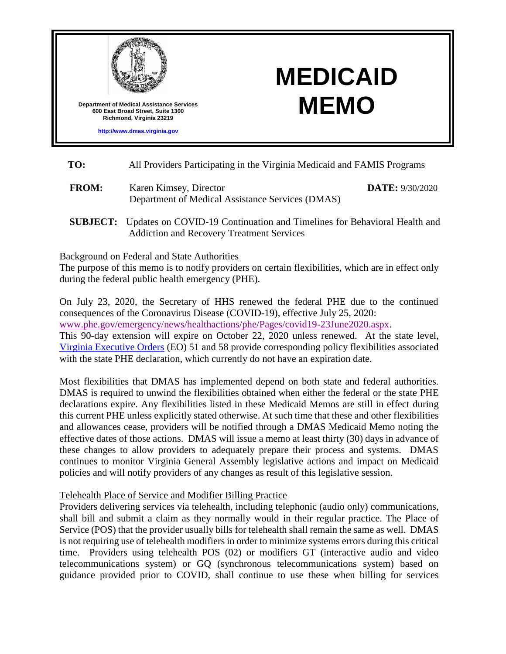

**[http://www.dmas.virginia.gov](http://www.dmas.virginia.gov/)**

# **MEDICAID MEMO**

- **TO:** All Providers Participating in the Virginia Medicaid and FAMIS Programs
- **FROM:** Karen Kimsey, Director Department of Medical Assistance Services (DMAS) **DATE:** 9/30/2020
- **SUBJECT:** Updates on COVID-19 Continuation and Timelines for Behavioral Health and Addiction and Recovery Treatment Services

Background on Federal and State Authorities

The purpose of this memo is to notify providers on certain flexibilities, which are in effect only during the federal public health emergency (PHE).

On July 23, 2020, the Secretary of HHS renewed the federal PHE due to the continued consequences of the Coronavirus Disease (COVID-19), effective July 25, 2020: [www.phe.gov/emergency/news/healthactions/phe/Pages/covid19-23June2020.aspx.](https://www.phe.gov/emergency/news/healthactions/phe/Pages/covid19-23June2020.aspx) This 90-day extension will expire on October 22, 2020 unless renewed. At the state level,

[Virginia Executive Orders](https://www.governor.virginia.gov/executive-actions/) (EO) 51 and 58 provide corresponding policy flexibilities associated with the state PHE declaration, which currently do not have an expiration date.

Most flexibilities that DMAS has implemented depend on both state and federal authorities. DMAS is required to unwind the flexibilities obtained when either the federal or the state PHE declarations expire. Any flexibilities listed in these Medicaid Memos are still in effect during this current PHE unless explicitly stated otherwise. At such time that these and other flexibilities and allowances cease, providers will be notified through a DMAS Medicaid Memo noting the effective dates of those actions. DMAS will issue a memo at least thirty (30) days in advance of these changes to allow providers to adequately prepare their process and systems. DMAS continues to monitor Virginia General Assembly legislative actions and impact on Medicaid policies and will notify providers of any changes as result of this legislative session.

## Telehealth Place of Service and Modifier Billing Practice

Providers delivering services via telehealth, including telephonic (audio only) communications, shall bill and submit a claim as they normally would in their regular practice. The Place of Service (POS) that the provider usually bills for telehealth shall remain the same as well. DMAS is not requiring use of telehealth modifiers in order to minimize systems errors during this critical time. Providers using telehealth POS (02) or modifiers GT (interactive audio and video telecommunications system) or GQ (synchronous telecommunications system) based on guidance provided prior to COVID, shall continue to use these when billing for services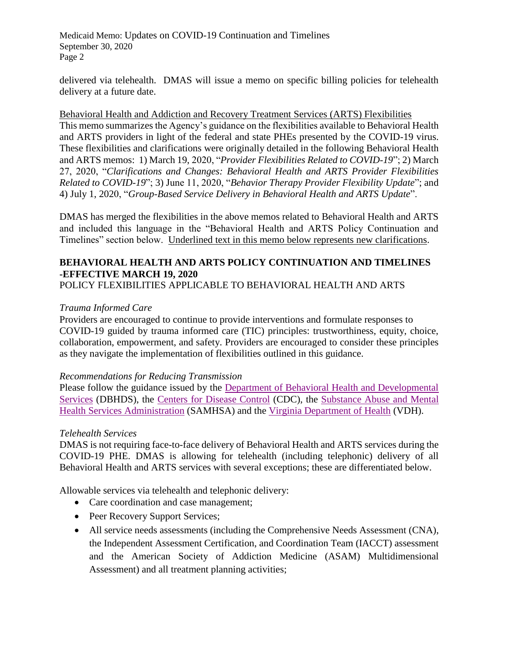delivered via telehealth. DMAS will issue a memo on specific billing policies for telehealth delivery at a future date.

Behavioral Health and Addiction and Recovery Treatment Services (ARTS) Flexibilities This memo summarizes the Agency's guidance on the flexibilities available to Behavioral Health and ARTS providers in light of the federal and state PHEs presented by the COVID-19 virus. These flexibilities and clarifications were originally detailed in the following Behavioral Health and ARTS memos: 1) March 19, 2020, "*Provider Flexibilities Related to COVID-19*"; 2) March 27, 2020, "*Clarifications and Changes: Behavioral Health and ARTS Provider Flexibilities Related to COVID-19*"; 3) June 11, 2020, "*Behavior Therapy Provider Flexibility Update*"; and 4) July 1, 2020, "*Group-Based Service Delivery in Behavioral Health and ARTS Update*".

DMAS has merged the flexibilities in the above memos related to Behavioral Health and ARTS and included this language in the "Behavioral Health and ARTS Policy Continuation and Timelines" section below. Underlined text in this memo below represents new clarifications.

## **BEHAVIORAL HEALTH AND ARTS POLICY CONTINUATION AND TIMELINES -EFFECTIVE MARCH 19, 2020** POLICY FLEXIBILITIES APPLICABLE TO BEHAVIORAL HEALTH AND ARTS

## *Trauma Informed Care*

Providers are encouraged to continue to provide interventions and formulate responses to COVID-19 guided by trauma informed care (TIC) principles: trustworthiness, equity, choice, collaboration, empowerment, and safety. Providers are encouraged to consider these principles as they navigate the implementation of flexibilities outlined in this guidance.

## *Recommendations for Reducing Transmission*

Please follow the guidance issued by the [Department of Behavioral Health and Developmental](http://www.dbhds.virginia.gov/covid19)  [Services](http://www.dbhds.virginia.gov/covid19) (DBHDS), the [Centers for Disease Control](https://www.cdc.gov/coronavirus/2019-ncov/index.html) (CDC), the [Substance Abuse and Mental](https://www.samhsa.gov/coronavirus)  [Health Services Administration](https://www.samhsa.gov/coronavirus) (SAMHSA) and the [Virginia Department of Health](https://www.vdh.virginia.gov/coronavirus/) (VDH).

## *Telehealth Services*

DMAS is not requiring face-to-face delivery of Behavioral Health and ARTS services during the COVID-19 PHE. DMAS is allowing for telehealth (including telephonic) delivery of all Behavioral Health and ARTS services with several exceptions; these are differentiated below.

Allowable services via telehealth and telephonic delivery:

- Care coordination and case management;
- Peer Recovery Support Services;
- All service needs assessments (including the Comprehensive Needs Assessment (CNA), the Independent Assessment Certification, and Coordination Team (IACCT) assessment and the American Society of Addiction Medicine (ASAM) Multidimensional Assessment) and all treatment planning activities;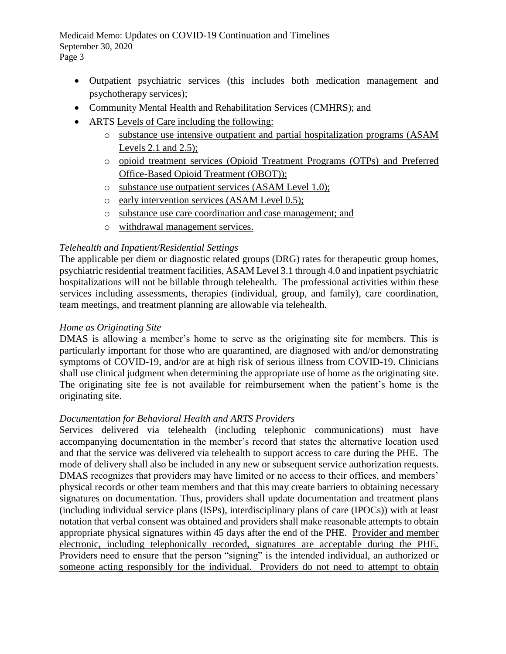Medicaid Memo: Updates on COVID-19 Continuation and Timelines September 30, 2020 Page 3

- Outpatient psychiatric services (this includes both medication management and psychotherapy services);
- Community Mental Health and Rehabilitation Services (CMHRS); and
- ARTS Levels of Care including the following:
	- o substance use intensive outpatient and partial hospitalization programs (ASAM Levels 2.1 and 2.5);
	- o opioid treatment services (Opioid Treatment Programs (OTPs) and Preferred Office-Based Opioid Treatment (OBOT));
	- o substance use outpatient services (ASAM Level 1.0);
	- o early intervention services (ASAM Level 0.5);
	- o substance use care coordination and case management; and
	- o withdrawal management services.

## *Telehealth and Inpatient/Residential Settings*

The applicable per diem or diagnostic related groups (DRG) rates for therapeutic group homes, psychiatric residential treatment facilities, ASAM Level 3.1 through 4.0 and inpatient psychiatric hospitalizations will not be billable through telehealth. The professional activities within these services including assessments, therapies (individual, group, and family), care coordination, team meetings, and treatment planning are allowable via telehealth.

## *Home as Originating Site*

DMAS is allowing a member's home to serve as the originating site for members. This is particularly important for those who are quarantined, are diagnosed with and/or demonstrating symptoms of COVID-19, and/or are at high risk of serious illness from COVID-19. Clinicians shall use clinical judgment when determining the appropriate use of home as the originating site. The originating site fee is not available for reimbursement when the patient's home is the originating site.

## *Documentation for Behavioral Health and ARTS Providers*

Services delivered via telehealth (including telephonic communications) must have accompanying documentation in the member's record that states the alternative location used and that the service was delivered via telehealth to support access to care during the PHE. The mode of delivery shall also be included in any new or subsequent service authorization requests. DMAS recognizes that providers may have limited or no access to their offices, and members' physical records or other team members and that this may create barriers to obtaining necessary signatures on documentation. Thus, providers shall update documentation and treatment plans (including individual service plans (ISPs), interdisciplinary plans of care (IPOCs)) with at least notation that verbal consent was obtained and providers shall make reasonable attempts to obtain appropriate physical signatures within 45 days after the end of the PHE. Provider and member electronic, including telephonically recorded, signatures are acceptable during the PHE. Providers need to ensure that the person "signing" is the intended individual, an authorized or someone acting responsibly for the individual. Providers do not need to attempt to obtain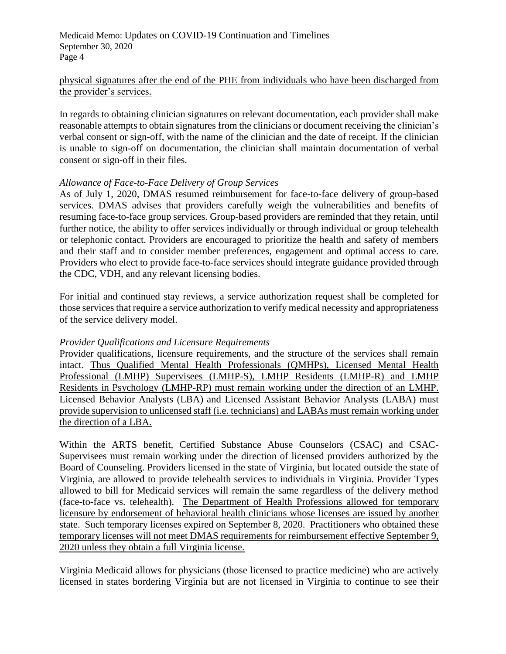## physical signatures after the end of the PHE from individuals who have been discharged from the provider's services.

In regards to obtaining clinician signatures on relevant documentation, each provider shall make reasonable attempts to obtain signatures from the clinicians or document receiving the clinician's verbal consent or sign-off, with the name of the clinician and the date of receipt. If the clinician is unable to sign-off on documentation, the clinician shall maintain documentation of verbal consent or sign-off in their files.

## *Allowance of Face-to-Face Delivery of Group Services*

As of July 1, 2020, DMAS resumed reimbursement for face-to-face delivery of group-based services. DMAS advises that providers carefully weigh the vulnerabilities and benefits of resuming face-to-face group services. Group-based providers are reminded that they retain, until further notice, the ability to offer services individually or through individual or group telehealth or telephonic contact. Providers are encouraged to prioritize the health and safety of members and their staff and to consider member preferences, engagement and optimal access to care. Providers who elect to provide face-to-face services should integrate guidance provided through the CDC, VDH, and any relevant licensing bodies.

For initial and continued stay reviews, a service authorization request shall be completed for those services that require a service authorization to verify medical necessity and appropriateness of the service delivery model.

## *Provider Qualifications and Licensure Requirements*

Provider qualifications, licensure requirements, and the structure of the services shall remain intact. Thus Qualified Mental Health Professionals (QMHPs), Licensed Mental Health Professional (LMHP) Supervisees (LMHP-S), LMHP Residents (LMHP-R) and LMHP Residents in Psychology (LMHP-RP) must remain working under the direction of an LMHP. Licensed Behavior Analysts (LBA) and Licensed Assistant Behavior Analysts (LABA) must provide supervision to unlicensed staff (i.e. technicians) and LABAs must remain working under the direction of a LBA.

Within the ARTS benefit, Certified Substance Abuse Counselors (CSAC) and CSAC-Supervisees must remain working under the direction of licensed providers authorized by the Board of Counseling. Providers licensed in the state of Virginia, but located outside the state of Virginia, are allowed to provide telehealth services to individuals in Virginia. Provider Types allowed to bill for Medicaid services will remain the same regardless of the delivery method (face-to-face vs. telehealth). The Department of Health Professions allowed for temporary licensure by endorsement of behavioral health clinicians whose licenses are issued by another state. Such temporary licenses expired on September 8, 2020. Practitioners who obtained these temporary licenses will not meet DMAS requirements for reimbursement effective September 9, 2020 unless they obtain a full Virginia license.

Virginia Medicaid allows for physicians (those licensed to practice medicine) who are actively licensed in states bordering Virginia but are not licensed in Virginia to continue to see their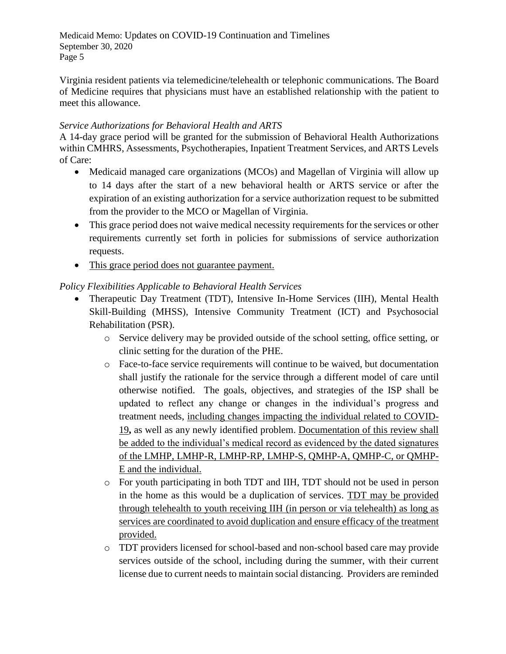Medicaid Memo: Updates on COVID-19 Continuation and Timelines September 30, 2020 Page 5

Virginia resident patients via telemedicine/telehealth or telephonic communications. The Board of Medicine requires that physicians must have an established relationship with the patient to meet this allowance.

# *Service Authorizations for Behavioral Health and ARTS*

A 14-day grace period will be granted for the submission of Behavioral Health Authorizations within CMHRS, Assessments, Psychotherapies, Inpatient Treatment Services, and ARTS Levels of Care:

- Medicaid managed care organizations (MCOs) and Magellan of Virginia will allow up to 14 days after the start of a new behavioral health or ARTS service or after the expiration of an existing authorization for a service authorization request to be submitted from the provider to the MCO or Magellan of Virginia.
- This grace period does not waive medical necessity requirements for the services or other requirements currently set forth in policies for submissions of service authorization requests.
- This grace period does not guarantee payment.

# *Policy Flexibilities Applicable to Behavioral Health Services*

- Therapeutic Day Treatment (TDT), Intensive In-Home Services (IIH), Mental Health Skill-Building (MHSS), Intensive Community Treatment (ICT) and Psychosocial Rehabilitation (PSR).
	- o Service delivery may be provided outside of the school setting, office setting, or clinic setting for the duration of the PHE.
	- o Face-to-face service requirements will continue to be waived, but documentation shall justify the rationale for the service through a different model of care until otherwise notified. The goals, objectives, and strategies of the ISP shall be updated to reflect any change or changes in the individual's progress and treatment needs, including changes impacting the individual related to COVID-19**,** as well as any newly identified problem. Documentation of this review shall be added to the individual's medical record as evidenced by the dated signatures of the LMHP, LMHP-R, LMHP-RP, LMHP-S, QMHP-A, QMHP-C, or QMHP-E and the individual.
	- o For youth participating in both TDT and IIH, TDT should not be used in person in the home as this would be a duplication of services. TDT may be provided through telehealth to youth receiving IIH (in person or via telehealth) as long as services are coordinated to avoid duplication and ensure efficacy of the treatment provided.
	- o TDT providers licensed for school-based and non-school based care may provide services outside of the school, including during the summer, with their current license due to current needs to maintain social distancing. Providers are reminded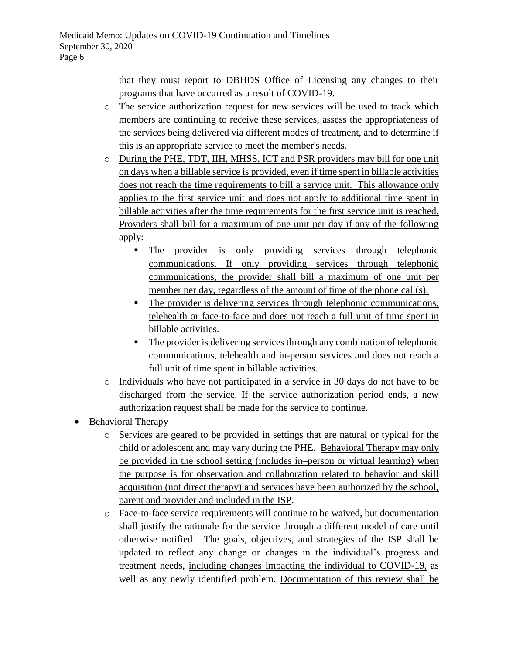that they must report to DBHDS Office of Licensing any changes to their programs that have occurred as a result of COVID-19.

- o The service authorization request for new services will be used to track which members are continuing to receive these services, assess the appropriateness of the services being delivered via different modes of treatment, and to determine if this is an appropriate service to meet the member's needs.
- o During the PHE, TDT, IIH, MHSS, ICT and PSR providers may bill for one unit on days when a billable service is provided, even if time spent in billable activities does not reach the time requirements to bill a service unit. This allowance only applies to the first service unit and does not apply to additional time spent in billable activities after the time requirements for the first service unit is reached. Providers shall bill for a maximum of one unit per day if any of the following apply:
	- The provider is only providing services through telephonic communications. If only providing services through telephonic communications, the provider shall bill a maximum of one unit per member per day, regardless of the amount of time of the phone call(s).
	- The provider is delivering services through telephonic communications, telehealth or face-to-face and does not reach a full unit of time spent in billable activities.
	- The provider is delivering services through any combination of telephonic communications, telehealth and in-person services and does not reach a full unit of time spent in billable activities.
- o Individuals who have not participated in a service in 30 days do not have to be discharged from the service. If the service authorization period ends, a new authorization request shall be made for the service to continue.
- Behavioral Therapy
	- o Services are geared to be provided in settings that are natural or typical for the child or adolescent and may vary during the PHE. Behavioral Therapy may only be provided in the school setting (includes in–person or virtual learning) when the purpose is for observation and collaboration related to behavior and skill acquisition (not direct therapy) and services have been authorized by the school, parent and provider and included in the ISP.
	- o Face-to-face service requirements will continue to be waived, but documentation shall justify the rationale for the service through a different model of care until otherwise notified. The goals, objectives, and strategies of the ISP shall be updated to reflect any change or changes in the individual's progress and treatment needs, including changes impacting the individual to COVID-19, as well as any newly identified problem. Documentation of this review shall be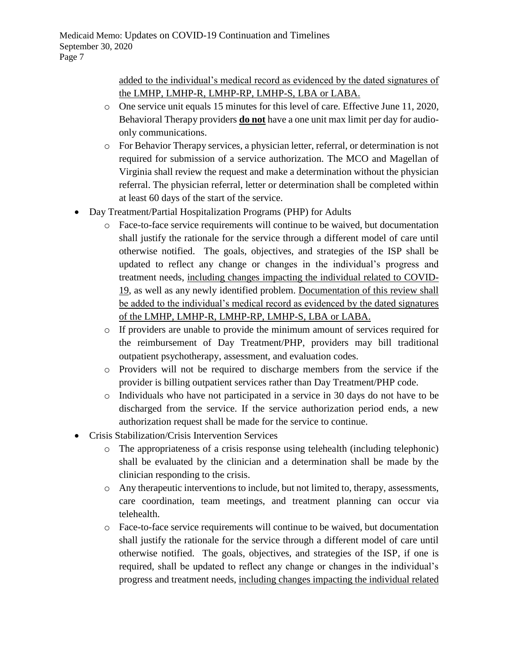added to the individual's medical record as evidenced by the dated signatures of the LMHP, LMHP-R, LMHP-RP, LMHP-S, LBA or LABA.

- o One service unit equals 15 minutes for this level of care. Effective June 11, 2020, Behavioral Therapy providers **do not** have a one unit max limit per day for audioonly communications.
- o For Behavior Therapy services, a physician letter, referral, or determination is not required for submission of a service authorization. The MCO and Magellan of Virginia shall review the request and make a determination without the physician referral. The physician referral, letter or determination shall be completed within at least 60 days of the start of the service.
- Day Treatment/Partial Hospitalization Programs (PHP) for Adults
	- o Face-to-face service requirements will continue to be waived, but documentation shall justify the rationale for the service through a different model of care until otherwise notified. The goals, objectives, and strategies of the ISP shall be updated to reflect any change or changes in the individual's progress and treatment needs, including changes impacting the individual related to COVID-19, as well as any newly identified problem. Documentation of this review shall be added to the individual's medical record as evidenced by the dated signatures of the LMHP, LMHP-R, LMHP-RP, LMHP-S, LBA or LABA.
	- o If providers are unable to provide the minimum amount of services required for the reimbursement of Day Treatment/PHP, providers may bill traditional outpatient psychotherapy, assessment, and evaluation codes.
	- o Providers will not be required to discharge members from the service if the provider is billing outpatient services rather than Day Treatment/PHP code.
	- o Individuals who have not participated in a service in 30 days do not have to be discharged from the service. If the service authorization period ends, a new authorization request shall be made for the service to continue.
- Crisis Stabilization/Crisis Intervention Services
	- o The appropriateness of a crisis response using telehealth (including telephonic) shall be evaluated by the clinician and a determination shall be made by the clinician responding to the crisis.
	- $\circ$  Any therapeutic interventions to include, but not limited to, therapy, assessments, care coordination, team meetings, and treatment planning can occur via telehealth.
	- o Face-to-face service requirements will continue to be waived, but documentation shall justify the rationale for the service through a different model of care until otherwise notified. The goals, objectives, and strategies of the ISP, if one is required, shall be updated to reflect any change or changes in the individual's progress and treatment needs, including changes impacting the individual related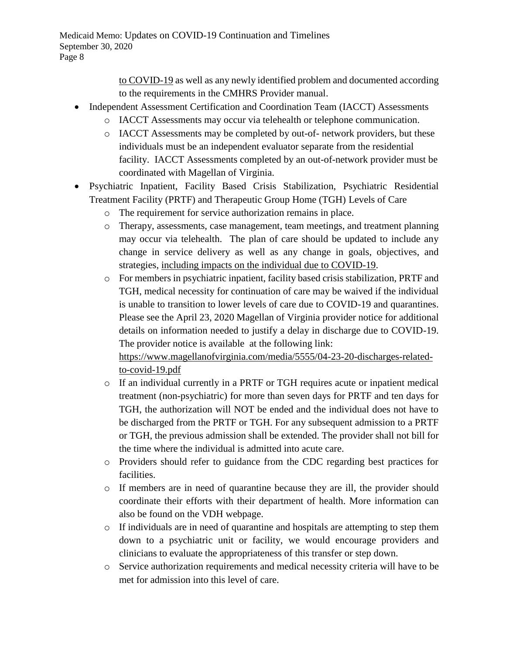to COVID-19 as well as any newly identified problem and documented according to the requirements in the CMHRS Provider manual.

- Independent Assessment Certification and Coordination Team (IACCT) Assessments
	- o IACCT Assessments may occur via telehealth or telephone communication.
	- o IACCT Assessments may be completed by out-of- network providers, but these individuals must be an independent evaluator separate from the residential facility. IACCT Assessments completed by an out-of-network provider must be coordinated with Magellan of Virginia.
- Psychiatric Inpatient, Facility Based Crisis Stabilization, Psychiatric Residential Treatment Facility (PRTF) and Therapeutic Group Home (TGH) Levels of Care
	- o The requirement for service authorization remains in place.
	- o Therapy, assessments, case management, team meetings, and treatment planning may occur via telehealth. The plan of care should be updated to include any change in service delivery as well as any change in goals, objectives, and strategies, including impacts on the individual due to COVID-19.
	- o For members in psychiatric inpatient, facility based crisis stabilization, PRTF and TGH, medical necessity for continuation of care may be waived if the individual is unable to transition to lower levels of care due to COVID-19 and quarantines. Please see the April 23, 2020 Magellan of Virginia provider notice for additional details on information needed to justify a delay in discharge due to COVID-19. The provider notice is available at the following link:

[https://www.magellanofvirginia.com/media/5555/04-23-20-discharges-related](https://www.magellanofvirginia.com/media/5555/04-23-20-discharges-related-to-covid-19.pdf)[to-covid-19.pdf](https://www.magellanofvirginia.com/media/5555/04-23-20-discharges-related-to-covid-19.pdf)

- o If an individual currently in a PRTF or TGH requires acute or inpatient medical treatment (non-psychiatric) for more than seven days for PRTF and ten days for TGH, the authorization will NOT be ended and the individual does not have to be discharged from the PRTF or TGH. For any subsequent admission to a PRTF or TGH, the previous admission shall be extended. The provider shall not bill for the time where the individual is admitted into acute care.
- o Providers should refer to guidance from the CDC regarding best practices for facilities.
- o If members are in need of quarantine because they are ill, the provider should coordinate their efforts with their department of health. More information can also be found on the VDH webpage.
- o If individuals are in need of quarantine and hospitals are attempting to step them down to a psychiatric unit or facility, we would encourage providers and clinicians to evaluate the appropriateness of this transfer or step down.
- o Service authorization requirements and medical necessity criteria will have to be met for admission into this level of care.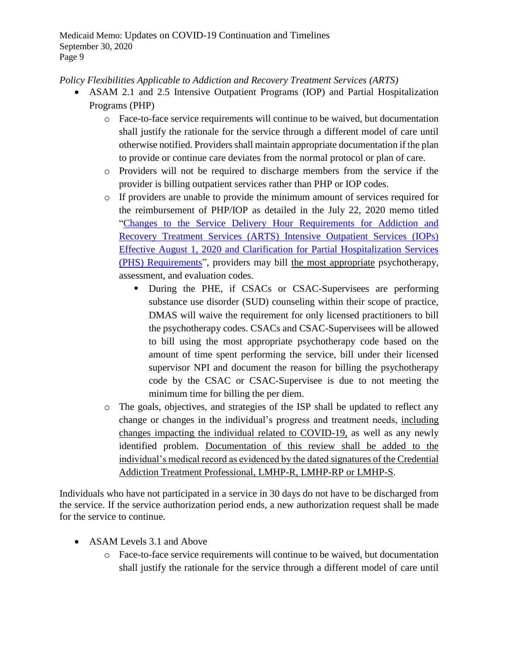*Policy Flexibilities Applicable to Addiction and Recovery Treatment Services (ARTS)*

- ASAM 2.1 and 2.5 Intensive Outpatient Programs (IOP) and Partial Hospitalization Programs (PHP)
	- o Face-to-face service requirements will continue to be waived, but documentation shall justify the rationale for the service through a different model of care until otherwise notified. Providers shall maintain appropriate documentation if the plan to provide or continue care deviates from the normal protocol or plan of care.
	- o Providers will not be required to discharge members from the service if the provider is billing outpatient services rather than PHP or IOP codes.
	- o If providers are unable to provide the minimum amount of services required for the reimbursement of PHP/IOP as detailed in the July 22, 2020 memo titled ["Changes to the Service Delivery Hour Requirements for Addiction and](https://www.virginiamedicaid.dmas.virginia.gov/wps/portal/!ut/p/z1/04_Sj9CPykssy0xPLMnMz0vMAfIjo8zivQJMHA2dDAx9LVxdHA0cjR0Dggxcgw2AQD-ckIIooLQBDuAI0h-FRYmjgVOQkZOxgYG7vxFWBShmeOlHpefkJwGdW5AbYZBl6qgIAIHkEAM!/dz/d5/L2dQdyEvd0hNQUJKSkEvNE5sSFl4MmNkZ25aSjJLUS9aNl9KUDRBMUIwMU04RURBMEEzQVBSMEVTMDAwMC9aNl9KUDRBMUIwMU1PSzhBMEEzQzhQUVZEMzQ0MS9aNl9KUDRBMUIwMU1PSzhBMEEzQzhQUVZEM0NRMC9aNl9KUDRBMUIwMU1PSzhBMEEzQzhQUVZEM0NRNy9aNl9KUDRBMUIwMU1PSzhBMEEzQzhQUVZEM0M2My9aNl9KUDRBMUIwMU1PSzhBMEEzQzhQUVZEM0NNNQ!!/)  [Recovery Treatment Services \(ARTS\) Intensive Outpatient Services \(IOPs\)](https://www.virginiamedicaid.dmas.virginia.gov/wps/portal/!ut/p/z1/04_Sj9CPykssy0xPLMnMz0vMAfIjo8zivQJMHA2dDAx9LVxdHA0cjR0Dggxcgw2AQD-ckIIooLQBDuAI0h-FRYmjgVOQkZOxgYG7vxFWBShmeOlHpefkJwGdW5AbYZBl6qgIAIHkEAM!/dz/d5/L2dQdyEvd0hNQUJKSkEvNE5sSFl4MmNkZ25aSjJLUS9aNl9KUDRBMUIwMU04RURBMEEzQVBSMEVTMDAwMC9aNl9KUDRBMUIwMU1PSzhBMEEzQzhQUVZEMzQ0MS9aNl9KUDRBMUIwMU1PSzhBMEEzQzhQUVZEM0NRMC9aNl9KUDRBMUIwMU1PSzhBMEEzQzhQUVZEM0NRNy9aNl9KUDRBMUIwMU1PSzhBMEEzQzhQUVZEM0M2My9aNl9KUDRBMUIwMU1PSzhBMEEzQzhQUVZEM0NNNQ!!/)  [Effective August 1, 2020 and Clarification for Partial Hospitalization Services](https://www.virginiamedicaid.dmas.virginia.gov/wps/portal/!ut/p/z1/04_Sj9CPykssy0xPLMnMz0vMAfIjo8zivQJMHA2dDAx9LVxdHA0cjR0Dggxcgw2AQD-ckIIooLQBDuAI0h-FRYmjgVOQkZOxgYG7vxFWBShmeOlHpefkJwGdW5AbYZBl6qgIAIHkEAM!/dz/d5/L2dQdyEvd0hNQUJKSkEvNE5sSFl4MmNkZ25aSjJLUS9aNl9KUDRBMUIwMU04RURBMEEzQVBSMEVTMDAwMC9aNl9KUDRBMUIwMU1PSzhBMEEzQzhQUVZEMzQ0MS9aNl9KUDRBMUIwMU1PSzhBMEEzQzhQUVZEM0NRMC9aNl9KUDRBMUIwMU1PSzhBMEEzQzhQUVZEM0NRNy9aNl9KUDRBMUIwMU1PSzhBMEEzQzhQUVZEM0M2My9aNl9KUDRBMUIwMU1PSzhBMEEzQzhQUVZEM0NNNQ!!/)  [\(PHS\) Requirements"](https://www.virginiamedicaid.dmas.virginia.gov/wps/portal/!ut/p/z1/04_Sj9CPykssy0xPLMnMz0vMAfIjo8zivQJMHA2dDAx9LVxdHA0cjR0Dggxcgw2AQD-ckIIooLQBDuAI0h-FRYmjgVOQkZOxgYG7vxFWBShmeOlHpefkJwGdW5AbYZBl6qgIAIHkEAM!/dz/d5/L2dQdyEvd0hNQUJKSkEvNE5sSFl4MmNkZ25aSjJLUS9aNl9KUDRBMUIwMU04RURBMEEzQVBSMEVTMDAwMC9aNl9KUDRBMUIwMU1PSzhBMEEzQzhQUVZEMzQ0MS9aNl9KUDRBMUIwMU1PSzhBMEEzQzhQUVZEM0NRMC9aNl9KUDRBMUIwMU1PSzhBMEEzQzhQUVZEM0NRNy9aNl9KUDRBMUIwMU1PSzhBMEEzQzhQUVZEM0M2My9aNl9KUDRBMUIwMU1PSzhBMEEzQzhQUVZEM0NNNQ!!/), providers may bill the most appropriate psychotherapy, assessment, and evaluation codes.
		- During the PHE, if CSACs or CSAC-Supervisees are performing substance use disorder (SUD) counseling within their scope of practice, DMAS will waive the requirement for only licensed practitioners to bill the psychotherapy codes. CSACs and CSAC-Supervisees will be allowed to bill using the most appropriate psychotherapy code based on the amount of time spent performing the service, bill under their licensed supervisor NPI and document the reason for billing the psychotherapy code by the CSAC or CSAC-Supervisee is due to not meeting the minimum time for billing the per diem.
	- o The goals, objectives, and strategies of the ISP shall be updated to reflect any change or changes in the individual's progress and treatment needs, including changes impacting the individual related to COVID-19, as well as any newly identified problem. Documentation of this review shall be added to the individual's medical record as evidenced by the dated signatures of the Credential Addiction Treatment Professional, LMHP-R, LMHP-RP or LMHP-S.

Individuals who have not participated in a service in 30 days do not have to be discharged from the service. If the service authorization period ends, a new authorization request shall be made for the service to continue.

- ASAM Levels 3.1 and Above
	- o Face-to-face service requirements will continue to be waived, but documentation shall justify the rationale for the service through a different model of care until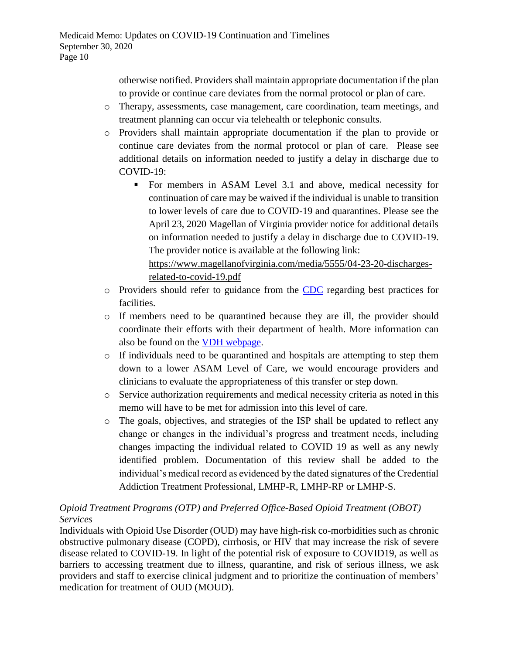otherwise notified. Providers shall maintain appropriate documentation if the plan to provide or continue care deviates from the normal protocol or plan of care.

- o Therapy, assessments, case management, care coordination, team meetings, and treatment planning can occur via telehealth or telephonic consults.
- o Providers shall maintain appropriate documentation if the plan to provide or continue care deviates from the normal protocol or plan of care. Please see additional details on information needed to justify a delay in discharge due to COVID-19:
	- For members in ASAM Level 3.1 and above, medical necessity for continuation of care may be waived if the individual is unable to transition to lower levels of care due to COVID-19 and quarantines. Please see the April 23, 2020 Magellan of Virginia provider notice for additional details on information needed to justify a delay in discharge due to COVID-19. The provider notice is available at the following link: [https://www.magellanofvirginia.com/media/5555/04-23-20-discharges](https://www.magellanofvirginia.com/media/5555/04-23-20-discharges-related-to-covid-19.pdf)[related-to-covid-19.pdf](https://www.magellanofvirginia.com/media/5555/04-23-20-discharges-related-to-covid-19.pdf)
- o Providers should refer to guidance from the [CDC](https://www.cdc.gov/coronavirus/2019-ncov/hcp/index.html?CDC_AA_refVal=https%3A%2F%2Fwww.cdc.gov%2Fcoronavirus%2F2019-ncov%2Fhealthcare-facilities%2Findex.html) regarding best practices for facilities.
- o If members need to be quarantined because they are ill, the provider should coordinate their efforts with their department of health. More information can also be found on the [VDH webpage.](http://www.vdh.virginia.gov/)
- o If individuals need to be quarantined and hospitals are attempting to step them down to a lower ASAM Level of Care, we would encourage providers and clinicians to evaluate the appropriateness of this transfer or step down.
- o Service authorization requirements and medical necessity criteria as noted in this memo will have to be met for admission into this level of care.
- o The goals, objectives, and strategies of the ISP shall be updated to reflect any change or changes in the individual's progress and treatment needs, including changes impacting the individual related to COVID 19 as well as any newly identified problem. Documentation of this review shall be added to the individual's medical record as evidenced by the dated signatures of the Credential Addiction Treatment Professional, LMHP-R, LMHP-RP or LMHP-S.

# *Opioid Treatment Programs (OTP) and Preferred Office-Based Opioid Treatment (OBOT) Services*

Individuals with Opioid Use Disorder (OUD) may have high-risk co-morbidities such as chronic obstructive pulmonary disease (COPD), cirrhosis, or HIV that may increase the risk of severe disease related to COVID-19. In light of the potential risk of exposure to COVID19, as well as barriers to accessing treatment due to illness, quarantine, and risk of serious illness, we ask providers and staff to exercise clinical judgment and to prioritize the continuation of members' medication for treatment of OUD (MOUD).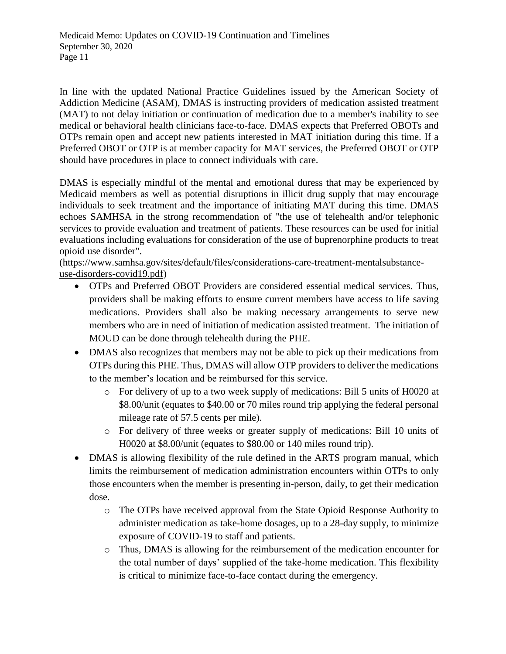In line with the updated National Practice Guidelines issued by the American Society of Addiction Medicine (ASAM), DMAS is instructing providers of medication assisted treatment (MAT) to not delay initiation or continuation of medication due to a member's inability to see medical or behavioral health clinicians face-to-face. DMAS expects that Preferred OBOTs and OTPs remain open and accept new patients interested in MAT initiation during this time. If a Preferred OBOT or OTP is at member capacity for MAT services, the Preferred OBOT or OTP should have procedures in place to connect individuals with care.

DMAS is especially mindful of the mental and emotional duress that may be experienced by Medicaid members as well as potential disruptions in illicit drug supply that may encourage individuals to seek treatment and the importance of initiating MAT during this time. DMAS echoes SAMHSA in the strong recommendation of "the use of telehealth and/or telephonic services to provide evaluation and treatment of patients. These resources can be used for initial evaluations including evaluations for consideration of the use of buprenorphine products to treat opioid use disorder".

[\(https://www.samhsa.gov/sites/default/files/considerations-care-treatment-mentalsubstance](https://www.samhsa.gov/sites/default/files/considerations-care-treatment-mentalsubstance-use-disorders-covid19.pdf)[use-disorders-covid19.pdf\)](https://www.samhsa.gov/sites/default/files/considerations-care-treatment-mentalsubstance-use-disorders-covid19.pdf)

- OTPs and Preferred OBOT Providers are considered essential medical services. Thus, providers shall be making efforts to ensure current members have access to life saving medications. Providers shall also be making necessary arrangements to serve new members who are in need of initiation of medication assisted treatment. The initiation of MOUD can be done through telehealth during the PHE.
- DMAS also recognizes that members may not be able to pick up their medications from OTPs during this PHE. Thus, DMAS will allow OTP providers to deliver the medications to the member's location and be reimbursed for this service.
	- o For delivery of up to a two week supply of medications: Bill 5 units of H0020 at \$8.00/unit (equates to \$40.00 or 70 miles round trip applying the federal personal mileage rate of 57.5 cents per mile).
	- o For delivery of three weeks or greater supply of medications: Bill 10 units of H0020 at \$8.00/unit (equates to \$80.00 or 140 miles round trip).
- DMAS is allowing flexibility of the rule defined in the ARTS program manual, which limits the reimbursement of medication administration encounters within OTPs to only those encounters when the member is presenting in-person, daily, to get their medication dose.
	- o The OTPs have received approval from the State Opioid Response Authority to administer medication as take-home dosages, up to a 28-day supply, to minimize exposure of COVID-19 to staff and patients.
	- o Thus, DMAS is allowing for the reimbursement of the medication encounter for the total number of days' supplied of the take-home medication. This flexibility is critical to minimize face-to-face contact during the emergency.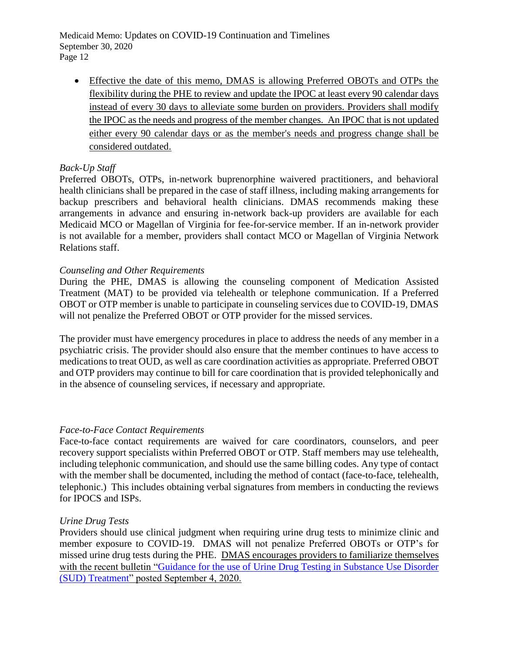Medicaid Memo: Updates on COVID-19 Continuation and Timelines September 30, 2020 Page 12

 Effective the date of this memo, DMAS is allowing Preferred OBOTs and OTPs the flexibility during the PHE to review and update the IPOC at least every 90 calendar days instead of every 30 days to alleviate some burden on providers. Providers shall modify the IPOC as the needs and progress of the member changes. An IPOC that is not updated either every 90 calendar days or as the member's needs and progress change shall be considered outdated.

## *Back-Up Staff*

Preferred OBOTs, OTPs, in-network buprenorphine waivered practitioners, and behavioral health clinicians shall be prepared in the case of staff illness, including making arrangements for backup prescribers and behavioral health clinicians. DMAS recommends making these arrangements in advance and ensuring in-network back-up providers are available for each Medicaid MCO or Magellan of Virginia for fee-for-service member. If an in-network provider is not available for a member, providers shall contact MCO or Magellan of Virginia Network Relations staff.

## *Counseling and Other Requirements*

During the PHE, DMAS is allowing the counseling component of Medication Assisted Treatment (MAT) to be provided via telehealth or telephone communication. If a Preferred OBOT or OTP member is unable to participate in counseling services due to COVID-19, DMAS will not penalize the Preferred OBOT or OTP provider for the missed services.

The provider must have emergency procedures in place to address the needs of any member in a psychiatric crisis. The provider should also ensure that the member continues to have access to medications to treat OUD, as well as care coordination activities as appropriate. Preferred OBOT and OTP providers may continue to bill for care coordination that is provided telephonically and in the absence of counseling services, if necessary and appropriate.

## *Face-to-Face Contact Requirements*

Face-to-face contact requirements are waived for care coordinators, counselors, and peer recovery support specialists within Preferred OBOT or OTP. Staff members may use telehealth, including telephonic communication, and should use the same billing codes. Any type of contact with the member shall be documented, including the method of contact (face-to-face, telehealth, telephonic.) This includes obtaining verbal signatures from members in conducting the reviews for IPOCS and ISPs.

## *Urine Drug Tests*

Providers should use clinical judgment when requiring urine drug tests to minimize clinic and member exposure to COVID-19. DMAS will not penalize Preferred OBOTs or OTP's for missed urine drug tests during the PHE. DMAS encourages providers to familiarize themselves with the recent bulletin ["Guidance for the use of Urine Drug Testing in Substance Use Disorder](https://www.virginiamedicaid.dmas.virginia.gov/wps/portal/!ut/p/z1/04_Sj9CPykssy0xPLMnMz0vMAfIjo8zivQJMHA2dDAx9LVxdHA0cjR0Dggxcgw2AQD-ckIIooLQBDuAI0h-FRYmjgVOQkZOxgYG7vxFWBShmeOlHpefkJwGdW5AbYZBl6qgIAIHkEAM!/dz/d5/L2dQdyEvd0hNQUJKSkEvNE5sSFl4MmNkZ25aSjJLUS9aNl9KUDRBMUIwMU04RURBMEEzQVBSMEVTMDAwMC9aNl9KUDRBMUIwMU1PSzhBMEEzQzhQUVZEMzQ0MS9aNl9KUDRBMUIwMU1PSzhBMEEzQzhQUVZEM0NRMC9aNl9KUDRBMUIwMU1PSzhBMEEzQzhQUVZEM0NRNy9aNl9KUDRBMUIwMU1PSzhBMEEzQzhQUVZEM0M2My9aNl9KUDRBMUIwMU1PSzhBMEEzQzhQUVZEM0NNNQ!!/)  [\(SUD\) Treatment"](https://www.virginiamedicaid.dmas.virginia.gov/wps/portal/!ut/p/z1/04_Sj9CPykssy0xPLMnMz0vMAfIjo8zivQJMHA2dDAx9LVxdHA0cjR0Dggxcgw2AQD-ckIIooLQBDuAI0h-FRYmjgVOQkZOxgYG7vxFWBShmeOlHpefkJwGdW5AbYZBl6qgIAIHkEAM!/dz/d5/L2dQdyEvd0hNQUJKSkEvNE5sSFl4MmNkZ25aSjJLUS9aNl9KUDRBMUIwMU04RURBMEEzQVBSMEVTMDAwMC9aNl9KUDRBMUIwMU1PSzhBMEEzQzhQUVZEMzQ0MS9aNl9KUDRBMUIwMU1PSzhBMEEzQzhQUVZEM0NRMC9aNl9KUDRBMUIwMU1PSzhBMEEzQzhQUVZEM0NRNy9aNl9KUDRBMUIwMU1PSzhBMEEzQzhQUVZEM0M2My9aNl9KUDRBMUIwMU1PSzhBMEEzQzhQUVZEM0NNNQ!!/) posted September 4, 2020.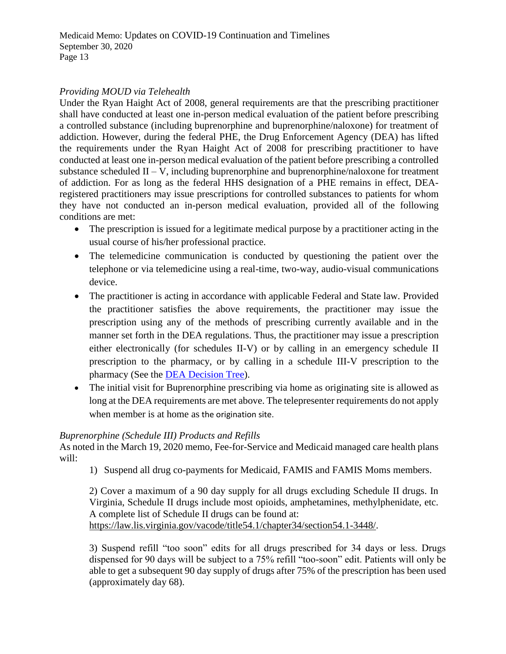# *Providing MOUD via Telehealth*

Under the Ryan Haight Act of 2008, general requirements are that the prescribing practitioner shall have conducted at least one in-person medical evaluation of the patient before prescribing a controlled substance (including buprenorphine and buprenorphine/naloxone) for treatment of addiction. However, during the federal PHE, the Drug Enforcement Agency (DEA) has lifted the requirements under the Ryan Haight Act of 2008 for prescribing practitioner to have conducted at least one in-person medical evaluation of the patient before prescribing a controlled substance scheduled  $II - V$ , including buprenorphine and buprenorphine/naloxone for treatment of addiction. For as long as the federal HHS designation of a PHE remains in effect, DEAregistered practitioners may issue prescriptions for controlled substances to patients for whom they have not conducted an in-person medical evaluation, provided all of the following conditions are met:

- The prescription is issued for a legitimate medical purpose by a practitioner acting in the usual course of his/her professional practice.
- The telemedicine communication is conducted by questioning the patient over the telephone or via telemedicine using a real-time, two-way, audio-visual communications device.
- The practitioner is acting in accordance with applicable Federal and State law. Provided the practitioner satisfies the above requirements, the practitioner may issue the prescription using any of the methods of prescribing currently available and in the manner set forth in the DEA regulations. Thus, the practitioner may issue a prescription either electronically (for schedules II-V) or by calling in an emergency schedule II prescription to the pharmacy, or by calling in a schedule III-V prescription to the pharmacy (See the [DEA Decision Tree\)](https://www.deadiversion.usdoj.gov/GDP/(DEA-DC-023)(DEA075)Decision_Tree_(Final)_33120_2007.pdf).
- The initial visit for Buprenorphine prescribing via home as originating site is allowed as long at the DEA requirements are met above. The telepresenter requirements do not apply when member is at home as the origination site.

## *Buprenorphine (Schedule III) Products and Refills*

As noted in the March 19, 2020 memo, Fee-for-Service and Medicaid managed care health plans will:

1) Suspend all drug co-payments for Medicaid, FAMIS and FAMIS Moms members.

2) Cover a maximum of a 90 day supply for all drugs excluding Schedule II drugs. In Virginia, Schedule II drugs include most opioids, amphetamines, methylphenidate, etc. A complete list of Schedule II drugs can be found at: [https://law.lis.virginia.gov/vacode/title54.1/chapter34/section54.1-3448/.](https://law.lis.virginia.gov/vacode/title54.1/chapter34/section54.1-3448/)

3) Suspend refill "too soon" edits for all drugs prescribed for 34 days or less. Drugs dispensed for 90 days will be subject to a 75% refill "too-soon" edit. Patients will only be able to get a subsequent 90 day supply of drugs after 75% of the prescription has been used (approximately day 68).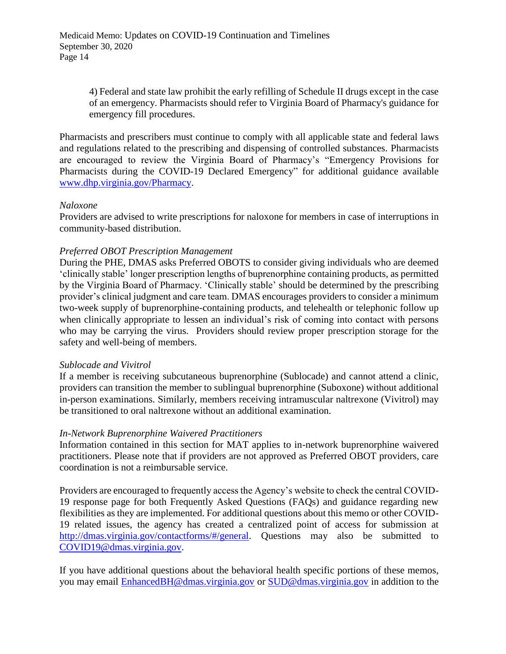4) Federal and state law prohibit the early refilling of Schedule II drugs except in the case of an emergency. Pharmacists should refer to Virginia Board of Pharmacy's guidance for emergency fill procedures.

Pharmacists and prescribers must continue to comply with all applicable state and federal laws and regulations related to the prescribing and dispensing of controlled substances. Pharmacists are encouraged to review the Virginia Board of Pharmacy's "Emergency Provisions for Pharmacists during the COVID-19 Declared Emergency" for additional guidance available [www.dhp.virginia.gov/Pharmacy.](file:///C:/Users/vmh49622/Desktop/www.dhp.virginia.gov/Pharmacy)

## *Naloxone*

Providers are advised to write prescriptions for naloxone for members in case of interruptions in community-based distribution.

## *Preferred OBOT Prescription Management*

During the PHE, DMAS asks Preferred OBOTS to consider giving individuals who are deemed 'clinically stable' longer prescription lengths of buprenorphine containing products, as permitted by the Virginia Board of Pharmacy. 'Clinically stable' should be determined by the prescribing provider's clinical judgment and care team. DMAS encourages providers to consider a minimum two-week supply of buprenorphine-containing products, and telehealth or telephonic follow up when clinically appropriate to lessen an individual's risk of coming into contact with persons who may be carrying the virus. Providers should review proper prescription storage for the safety and well-being of members.

### *Sublocade and Vivitrol*

If a member is receiving subcutaneous buprenorphine (Sublocade) and cannot attend a clinic, providers can transition the member to sublingual buprenorphine (Suboxone) without additional in-person examinations. Similarly, members receiving intramuscular naltrexone (Vivitrol) may be transitioned to oral naltrexone without an additional examination.

### *In-Network Buprenorphine Waivered Practitioners*

Information contained in this section for MAT applies to in-network buprenorphine waivered practitioners. Please note that if providers are not approved as Preferred OBOT providers, care coordination is not a reimbursable service.

Providers are encouraged to frequently access the Agency's website to check the central COVID-19 response page for both Frequently Asked Questions (FAQs) and guidance regarding new flexibilities as they are implemented. For additional questions about this memo or other COVID-19 related issues, the agency has created a centralized point of access for submission at [http://dmas.virginia.gov/contactforms/#/general.](http://dmas.virginia.gov/contactforms/%23/general) Questions may also be submitted to [COVID19@dmas.virginia.gov.](file:///C:/Users/vmh49622/Desktop/COVID19@dmas.virginia.gov)

If you have additional questions about the behavioral health specific portions of these memos, you may email [EnhancedBH@dmas.virginia.gov](file:///C:/Users/vmh49622/Desktop/EnhancedBH@dmas.virginia.gov) or [SUD@dmas.virginia.gov](file:///C:/Users/vmh49622/Desktop/SUD@dmas.virginia.gov) in addition to the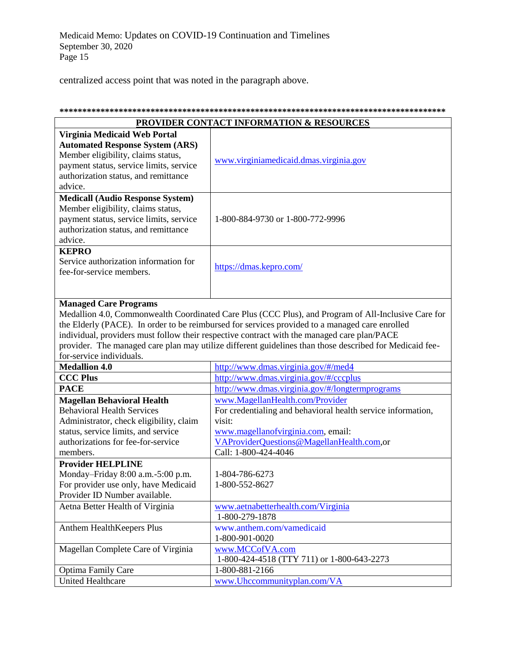centralized access point that was noted in the paragraph above.

| <b>PROVIDER CONTACT INFORMATION &amp; RESOURCES</b> |                                                                                                         |  |
|-----------------------------------------------------|---------------------------------------------------------------------------------------------------------|--|
| Virginia Medicaid Web Portal                        |                                                                                                         |  |
| <b>Automated Response System (ARS)</b>              |                                                                                                         |  |
| Member eligibility, claims status,                  |                                                                                                         |  |
| payment status, service limits, service             | www.virginiamedicaid.dmas.virginia.gov                                                                  |  |
| authorization status, and remittance                |                                                                                                         |  |
| advice.                                             |                                                                                                         |  |
| <b>Medicall (Audio Response System)</b>             |                                                                                                         |  |
| Member eligibility, claims status,                  |                                                                                                         |  |
| payment status, service limits, service             | 1-800-884-9730 or 1-800-772-9996                                                                        |  |
| authorization status, and remittance                |                                                                                                         |  |
| advice.                                             |                                                                                                         |  |
| <b>KEPRO</b>                                        |                                                                                                         |  |
| Service authorization information for               |                                                                                                         |  |
| fee-for-service members.                            | https://dmas.kepro.com/                                                                                 |  |
|                                                     |                                                                                                         |  |
|                                                     |                                                                                                         |  |
| <b>Managed Care Programs</b>                        |                                                                                                         |  |
|                                                     | Medallion 4.0, Commonwealth Coordinated Care Plus (CCC Plus), and Program of All-Inclusive Care for     |  |
|                                                     | the Elderly (PACE). In order to be reimbursed for services provided to a managed care enrolled          |  |
|                                                     | individual, providers must follow their respective contract with the managed care plan/PACE             |  |
|                                                     | provider. The managed care plan may utilize different guidelines than those described for Medicaid fee- |  |
| for-service individuals.                            |                                                                                                         |  |
| <b>Medallion 4.0</b>                                | http://www.dmas.virginia.gov/#/med4                                                                     |  |
| <b>CCC Plus</b>                                     | http://www.dmas.virginia.gov/#/cccplus                                                                  |  |
| <b>PACE</b>                                         | http://www.dmas.virginia.gov/#/longtermprograms                                                         |  |
| <b>Magellan Behavioral Health</b>                   | www.MagellanHealth.com/Provider                                                                         |  |
| <b>Behavioral Health Services</b>                   |                                                                                                         |  |
|                                                     | For credentialing and behavioral health service information,<br>visit:                                  |  |
| Administrator, check eligibility, claim             |                                                                                                         |  |
| status, service limits, and service                 | www.magellanofvirginia.com, email:                                                                      |  |
| authorizations for fee-for-service                  | VAProviderQuestions@MagellanHealth.com,or                                                               |  |
| members.                                            | Call: 1-800-424-4046                                                                                    |  |
| <b>Provider HELPLINE</b>                            |                                                                                                         |  |
| Monday-Friday 8:00 a.m.-5:00 p.m.                   | 1-804-786-6273                                                                                          |  |
| For provider use only, have Medicaid                | 1-800-552-8627                                                                                          |  |
| Provider ID Number available.                       |                                                                                                         |  |
| Aetna Better Health of Virginia                     | www.aetnabetterhealth.com/Virginia                                                                      |  |
|                                                     | 1-800-279-1878                                                                                          |  |
| Anthem HealthKeepers Plus                           | www.anthem.com/vamedicaid                                                                               |  |
|                                                     | 1-800-901-0020                                                                                          |  |
| Magellan Complete Care of Virginia                  | www.MCCofVA.com                                                                                         |  |
|                                                     | 1-800-424-4518 (TTY 711) or 1-800-643-2273                                                              |  |
| <b>Optima Family Care</b>                           | 1-800-881-2166                                                                                          |  |
| <b>United Healthcare</b>                            | www.Uhccommunityplan.com/VA                                                                             |  |